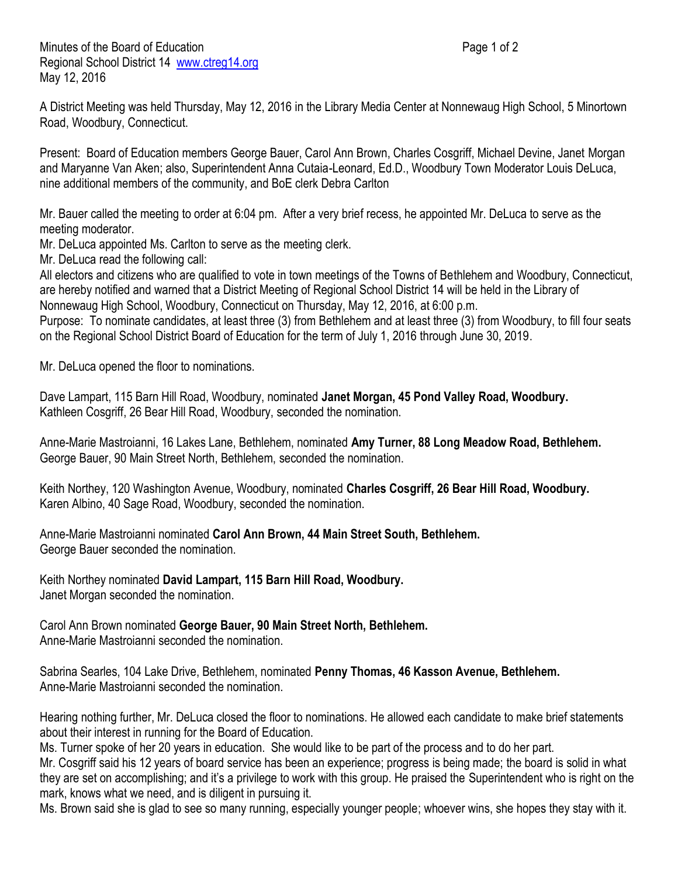Minutes of the Board of Education **Page 1 of 2** and 2 Regional School District 14 [www.ctreg14.org](http://www.ctreg14.org/) May 12, 2016

A District Meeting was held Thursday, May 12, 2016 in the Library Media Center at Nonnewaug High School, 5 Minortown Road, Woodbury, Connecticut.

Present: Board of Education members George Bauer, Carol Ann Brown, Charles Cosgriff, Michael Devine, Janet Morgan and Maryanne Van Aken; also, Superintendent Anna Cutaia-Leonard, Ed.D., Woodbury Town Moderator Louis DeLuca, nine additional members of the community, and BoE clerk Debra Carlton

Mr. Bauer called the meeting to order at 6:04 pm. After a very brief recess, he appointed Mr. DeLuca to serve as the meeting moderator.

Mr. DeLuca appointed Ms. Carlton to serve as the meeting clerk.

Mr. DeLuca read the following call:

All electors and citizens who are qualified to vote in town meetings of the Towns of Bethlehem and Woodbury, Connecticut, are hereby notified and warned that a District Meeting of Regional School District 14 will be held in the Library of Nonnewaug High School, Woodbury, Connecticut on Thursday, May 12, 2016, at 6:00 p.m.

Purpose: To nominate candidates, at least three (3) from Bethlehem and at least three (3) from Woodbury, to fill four seats on the Regional School District Board of Education for the term of July 1, 2016 through June 30, 2019.

Mr. DeLuca opened the floor to nominations.

Dave Lampart, 115 Barn Hill Road, Woodbury, nominated **Janet Morgan, 45 Pond Valley Road, Woodbury.** Kathleen Cosgriff, 26 Bear Hill Road, Woodbury, seconded the nomination.

Anne-Marie Mastroianni, 16 Lakes Lane, Bethlehem, nominated **Amy Turner, 88 Long Meadow Road, Bethlehem.** George Bauer, 90 Main Street North, Bethlehem, seconded the nomination.

Keith Northey, 120 Washington Avenue, Woodbury, nominated **Charles Cosgriff, 26 Bear Hill Road, Woodbury.** Karen Albino, 40 Sage Road, Woodbury, seconded the nomination.

Anne-Marie Mastroianni nominated **Carol Ann Brown, 44 Main Street South, Bethlehem.** George Bauer seconded the nomination.

Keith Northey nominated **David Lampart, 115 Barn Hill Road, Woodbury.** Janet Morgan seconded the nomination.

Carol Ann Brown nominated **George Bauer, 90 Main Street North, Bethlehem.** Anne-Marie Mastroianni seconded the nomination.

Sabrina Searles, 104 Lake Drive, Bethlehem, nominated **Penny Thomas, 46 Kasson Avenue, Bethlehem.** Anne-Marie Mastroianni seconded the nomination.

Hearing nothing further, Mr. DeLuca closed the floor to nominations. He allowed each candidate to make brief statements about their interest in running for the Board of Education.

Ms. Turner spoke of her 20 years in education. She would like to be part of the process and to do her part.

Mr. Cosgriff said his 12 years of board service has been an experience; progress is being made; the board is solid in what they are set on accomplishing; and it's a privilege to work with this group. He praised the Superintendent who is right on the mark, knows what we need, and is diligent in pursuing it.

Ms. Brown said she is glad to see so many running, especially younger people; whoever wins, she hopes they stay with it.